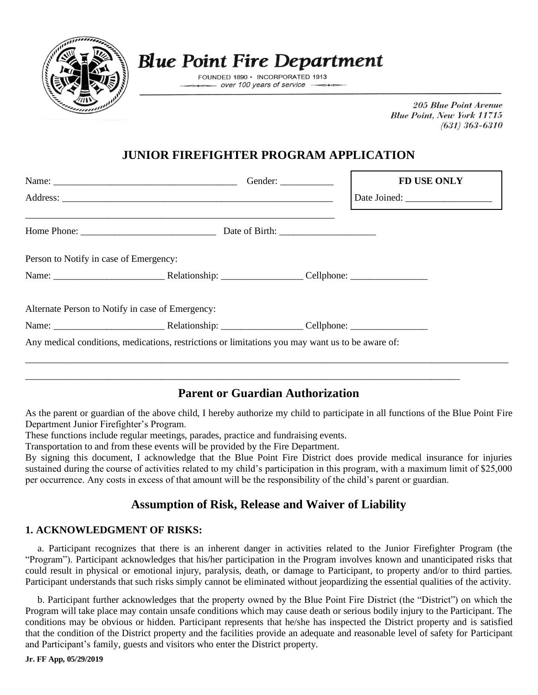

# **Blue Point Fire Department**

FOUNDED 1890 · INCORPORATED 1913 over 100 years of service

> **205 Blue Point Avenue Blue Point, New York 11715**  $(631)$  363-6310

## **JUNIOR FIREFIGHTER PROGRAM APPLICATION**

|                                        |                                                                                                  | Gender: $\frac{1}{\sqrt{1-\frac{1}{2}} \cdot \frac{1}{2}}$ | <b>FD USE ONLY</b> |
|----------------------------------------|--------------------------------------------------------------------------------------------------|------------------------------------------------------------|--------------------|
|                                        |                                                                                                  |                                                            |                    |
|                                        |                                                                                                  |                                                            |                    |
| Person to Notify in case of Emergency: |                                                                                                  |                                                            |                    |
|                                        |                                                                                                  |                                                            |                    |
|                                        | Alternate Person to Notify in case of Emergency:                                                 |                                                            |                    |
|                                        |                                                                                                  |                                                            |                    |
|                                        | Any medical conditions, medications, restrictions or limitations you may want us to be aware of: |                                                            |                    |
|                                        |                                                                                                  |                                                            |                    |
|                                        |                                                                                                  |                                                            |                    |

### **Parent or Guardian Authorization**

As the parent or guardian of the above child, I hereby authorize my child to participate in all functions of the Blue Point Fire Department Junior Firefighter's Program.

These functions include regular meetings, parades, practice and fundraising events.

Transportation to and from these events will be provided by the Fire Department.

By signing this document, I acknowledge that the Blue Point Fire District does provide medical insurance for injuries sustained during the course of activities related to my child's participation in this program, with a maximum limit of \$25,000 per occurrence. Any costs in excess of that amount will be the responsibility of the child's parent or guardian.

### **Assumption of Risk, Release and Waiver of Liability**

#### **1. ACKNOWLEDGMENT OF RISKS:**

 a. Participant recognizes that there is an inherent danger in activities related to the Junior Firefighter Program (the "Program"). Participant acknowledges that his/her participation in the Program involves known and unanticipated risks that could result in physical or emotional injury, paralysis, death, or damage to Participant, to property and/or to third parties. Participant understands that such risks simply cannot be eliminated without jeopardizing the essential qualities of the activity.

 b. Participant further acknowledges that the property owned by the Blue Point Fire District (the "District") on which the Program will take place may contain unsafe conditions which may cause death or serious bodily injury to the Participant. The conditions may be obvious or hidden. Participant represents that he/she has inspected the District property and is satisfied that the condition of the District property and the facilities provide an adequate and reasonable level of safety for Participant and Participant's family, guests and visitors who enter the District property.